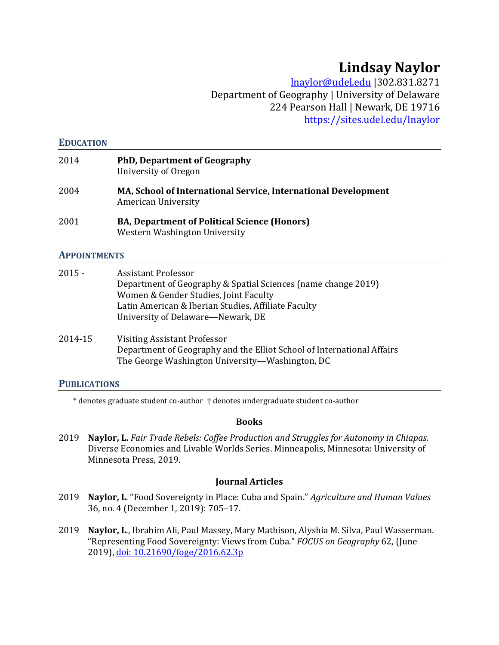# **Lindsay Naylor**

lnaylor@udel.edu |302.831.8271 Department of Geography | University of Delaware 224 Pearson Hall | Newark, DE 19716 https://sites.udel.edu/lnaylor

#### **EDUCATION**

| 2014 | <b>PhD, Department of Geography</b><br>University of Oregon                                  |
|------|----------------------------------------------------------------------------------------------|
| 2004 | <b>MA, School of International Service, International Development</b><br>American University |
| 2001 | <b>BA, Department of Political Science (Honors)</b><br>Western Washington University         |

### **APPOINTMENTS**

| $2015 -$ | <b>Assistant Professor</b>                                    |
|----------|---------------------------------------------------------------|
|          | Department of Geography & Spatial Sciences (name change 2019) |
|          | Women & Gender Studies, Joint Faculty                         |
|          | Latin American & Iberian Studies, Affiliate Faculty           |
|          | University of Delaware—Newark, DE                             |
|          |                                                               |

2014-15 Visiting Assistant Professor Department of Geography and the Elliot School of International Affairs The George Washington University—Washington, DC

### **PUBLICATIONS**

\* denotes graduate student co-author † denotes undergraduate student co-author

#### **Books**

2019 **Naylor, L.** *Fair Trade Rebels: Coffee Production and Struggles for Autonomy in Chiapas.* Diverse Economies and Livable Worlds Series. Minneapolis, Minnesota: University of Minnesota Press, 2019.

#### **Journal Articles**

- 2019 **Naylor, L**. "Food Sovereignty in Place: Cuba and Spain." *Agriculture and Human Values* 36, no. 4 (December 1, 2019): 705–17.
- 2019 **Naylor, L**., Ibrahim Ali, Paul Massey, Mary Mathison, Alyshia M. Silva, Paul Wasserman. "Representing Food Sovereignty: Views from Cuba." *FOCUS on Geography* 62, (June 2019), doi: 10.21690/foge/2016.62.3p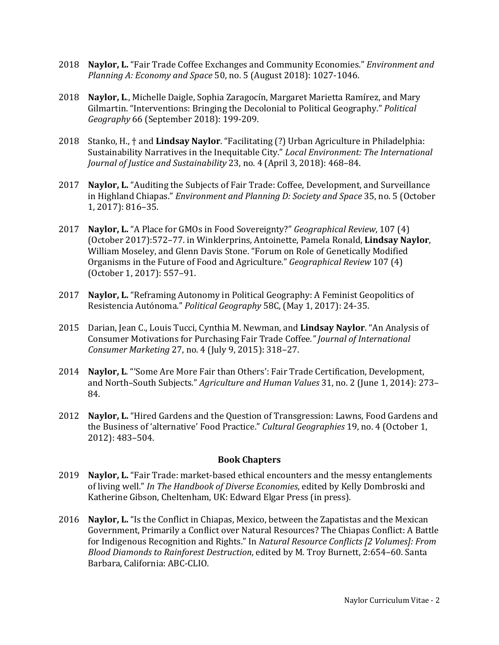- 2018 **Naylor, L.** "Fair Trade Coffee Exchanges and Community Economies." *Environment and Planning A: Economy and Space* 50, no. 5 (August 2018): 1027-1046.
- 2018 **Naylor, L**., Michelle Daigle, Sophia Zaragocín, Margaret Marietta Ramírez, and Mary Gilmartin. "Interventions: Bringing the Decolonial to Political Geography." *Political Geography* 66 (September 2018): 199-209.
- 2018 Stanko, H., † and **Lindsay Naylor**. "Facilitating (?) Urban Agriculture in Philadelphia: Sustainability Narratives in the Inequitable City." *Local Environment: The International Journal of Justice and Sustainability* 23, no. 4 (April 3, 2018): 468–84.
- 2017 **Naylor, L.** "Auditing the Subjects of Fair Trade: Coffee, Development, and Surveillance in Highland Chiapas." *Environment and Planning D: Society and Space* 35, no. 5 (October 1, 2017): 816–35.
- 2017 **Naylor, L.** "A Place for GMOs in Food Sovereignty?" *Geographical Review*, 107 (4) (October 2017):572–77. in Winklerprins, Antoinette, Pamela Ronald, **Lindsay Naylor**, William Moseley, and Glenn Davis Stone. "Forum on Role of Genetically Modified Organisms in the Future of Food and Agriculture." *Geographical Review* 107 (4) (October 1, 2017): 557–91.
- 2017 **Naylor, L.** "Reframing Autonomy in Political Geography: A Feminist Geopolitics of Resistencia Autónoma." *Political Geography* 58C, (May 1, 2017): 24-35.
- 2015 Darian, Jean C., Louis Tucci, Cynthia M. Newman, and **Lindsay Naylor**. "An Analysis of Consumer Motivations for Purchasing Fair Trade Coffee*." Journal of International Consumer Marketing* 27, no. 4 (July 9, 2015): 318–27.
- 2014 **Naylor, L**. "'Some Are More Fair than Others': Fair Trade Certification, Development, and North–South Subjects." *Agriculture and Human Values* 31, no. 2 (June 1, 2014): 273– 84.
- 2012 **Naylor, L.** "Hired Gardens and the Question of Transgression: Lawns, Food Gardens and the Business of 'alternative' Food Practice." *Cultural Geographies* 19, no. 4 (October 1, 2012): 483–504.

#### **Book Chapters**

- 2019 **Naylor, L.** "Fair Trade: market-based ethical encounters and the messy entanglements of living well." *In The Handbook of Diverse Economies*, edited by Kelly Dombroski and Katherine Gibson, Cheltenham, UK: Edward Elgar Press (in press).
- 2016 **Naylor, L.** "Is the Conflict in Chiapas, Mexico, between the Zapatistas and the Mexican Government, Primarily a Conflict over Natural Resources? The Chiapas Conflict: A Battle for Indigenous Recognition and Rights." In *Natural Resource Conflicts [2 Volumes]: From Blood Diamonds to Rainforest Destruction*, edited by M. Troy Burnett, 2:654–60. Santa Barbara, California: ABC-CLIO.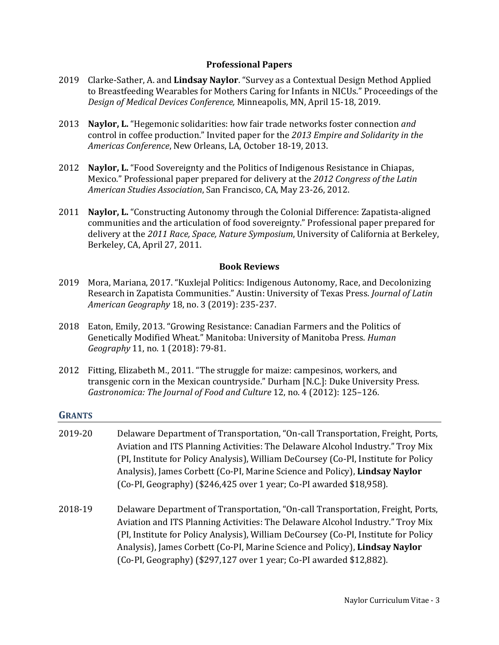### **Professional Papers**

- 2019 Clarke-Sather, A. and **Lindsay Naylor**. "Survey as a Contextual Design Method Applied to Breastfeeding Wearables for Mothers Caring for Infants in NICUs." Proceedings of the *Design of Medical Devices Conference,* Minneapolis, MN, April 15-18, 2019.
- 2013 **Naylor, L.** "Hegemonic solidarities: how fair trade networks foster connection *and* control in coffee production." Invited paper for the *2013 Empire and Solidarity in the Americas Conference*, New Orleans, LA, October 18-19, 2013.
- 2012 **Naylor, L.** "Food Sovereignty and the Politics of Indigenous Resistance in Chiapas, Mexico." Professional paper prepared for delivery at the *2012 Congress of the Latin American Studies Association*, San Francisco, CA, May 23-26, 2012.
- 2011 **Naylor, L.** "Constructing Autonomy through the Colonial Difference: Zapatista-aligned communities and the articulation of food sovereignty." Professional paper prepared for delivery at the *2011 Race, Space, Nature Symposium*, University of California at Berkeley, Berkeley, CA, April 27, 2011.

## **Book Reviews**

- 2019 Mora, Mariana, 2017. "Kuxlejal Politics: Indigenous Autonomy, Race, and Decolonizing Research in Zapatista Communities." Austin: University of Texas Press. *Journal of Latin American Geography* 18, no. 3 (2019): 235-237.
- 2018 Eaton, Emily, 2013. "Growing Resistance: Canadian Farmers and the Politics of Genetically Modified Wheat." Manitoba: University of Manitoba Press. *Human Geography* 11, no. 1 (2018): 79-81.
- 2012 Fitting, Elizabeth M., 2011. "The struggle for maize: campesinos, workers, and transgenic corn in the Mexican countryside." Durham [N.C.]: Duke University Press. *Gastronomica: The Journal of Food and Culture* 12, no. 4 (2012): 125–126.

### **GRANTS**

- 2019-20 Delaware Department of Transportation, "On-call Transportation, Freight, Ports, Aviation and ITS Planning Activities: The Delaware Alcohol Industry." Troy Mix (PI, Institute for Policy Analysis), William DeCoursey (Co-PI, Institute for Policy Analysis), James Corbett (Co-PI, Marine Science and Policy), **Lindsay Naylor** (Co-PI, Geography) (\$246,425 over 1 year; Co-PI awarded \$18,958).
- 2018-19 Delaware Department of Transportation, "On-call Transportation, Freight, Ports, Aviation and ITS Planning Activities: The Delaware Alcohol Industry." Troy Mix (PI, Institute for Policy Analysis), William DeCoursey (Co-PI, Institute for Policy Analysis), James Corbett (Co-PI, Marine Science and Policy), **Lindsay Naylor** (Co-PI, Geography) (\$297,127 over 1 year; Co-PI awarded \$12,882).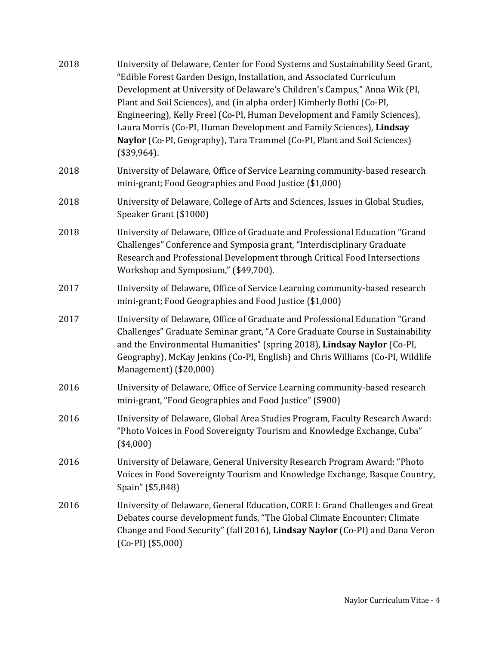| University of Delaware, Center for Food Systems and Sustainability Seed Grant,<br>"Edible Forest Garden Design, Installation, and Associated Curriculum<br>Development at University of Delaware's Children's Campus," Anna Wik (PI,<br>Plant and Soil Sciences), and (in alpha order) Kimberly Bothi (Co-PI,<br>Engineering), Kelly Freel (Co-PI, Human Development and Family Sciences),<br>Laura Morris (Co-PI, Human Development and Family Sciences), Lindsay<br>Naylor (Co-PI, Geography), Tara Trammel (Co-PI, Plant and Soil Sciences)<br>(\$39,964). |
|---------------------------------------------------------------------------------------------------------------------------------------------------------------------------------------------------------------------------------------------------------------------------------------------------------------------------------------------------------------------------------------------------------------------------------------------------------------------------------------------------------------------------------------------------------------|
| University of Delaware, Office of Service Learning community-based research<br>mini-grant; Food Geographies and Food Justice (\$1,000)                                                                                                                                                                                                                                                                                                                                                                                                                        |
| University of Delaware, College of Arts and Sciences, Issues in Global Studies,<br>Speaker Grant (\$1000)                                                                                                                                                                                                                                                                                                                                                                                                                                                     |
| University of Delaware, Office of Graduate and Professional Education "Grand<br>Challenges" Conference and Symposia grant, "Interdisciplinary Graduate<br>Research and Professional Development through Critical Food Intersections<br>Workshop and Symposium," (\$49,700).                                                                                                                                                                                                                                                                                   |
| University of Delaware, Office of Service Learning community-based research<br>mini-grant; Food Geographies and Food Justice (\$1,000)                                                                                                                                                                                                                                                                                                                                                                                                                        |
| University of Delaware, Office of Graduate and Professional Education "Grand<br>Challenges" Graduate Seminar grant, "A Core Graduate Course in Sustainability<br>and the Environmental Humanities" (spring 2018), Lindsay Naylor (Co-PI,<br>Geography), McKay Jenkins (Co-PI, English) and Chris Williams (Co-PI, Wildlife<br>Management) (\$20,000)                                                                                                                                                                                                          |
| University of Delaware, Office of Service Learning community-based research<br>mini-grant, "Food Geographies and Food Justice" (\$900)                                                                                                                                                                                                                                                                                                                                                                                                                        |
| University of Delaware, Global Area Studies Program, Faculty Research Award:<br>"Photo Voices in Food Sovereignty Tourism and Knowledge Exchange, Cuba"<br>$(*4,000)$                                                                                                                                                                                                                                                                                                                                                                                         |
| University of Delaware, General University Research Program Award: "Photo<br>Voices in Food Sovereignty Tourism and Knowledge Exchange, Basque Country,<br>Spain" (\$5,848)                                                                                                                                                                                                                                                                                                                                                                                   |
| University of Delaware, General Education, CORE I: Grand Challenges and Great<br>Debates course development funds, "The Global Climate Encounter: Climate<br>Change and Food Security" (fall 2016), Lindsay Naylor (Co-PI) and Dana Veron<br>$(Co-PI)$ (\$5,000)                                                                                                                                                                                                                                                                                              |
|                                                                                                                                                                                                                                                                                                                                                                                                                                                                                                                                                               |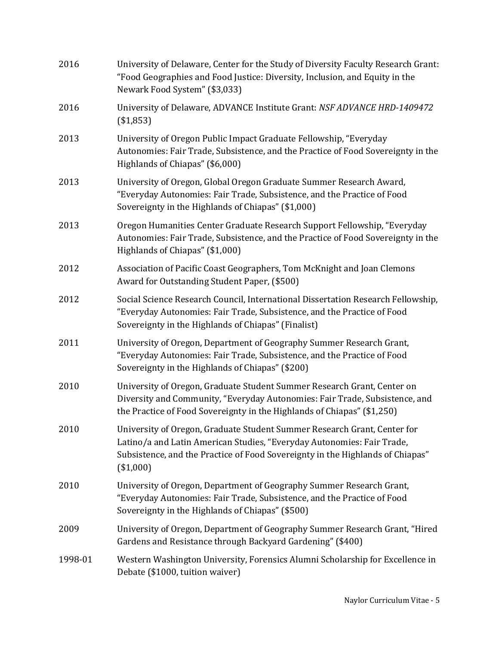| 2016    | University of Delaware, Center for the Study of Diversity Faculty Research Grant:<br>"Food Geographies and Food Justice: Diversity, Inclusion, and Equity in the<br>Newark Food System" (\$3,033)                                                 |
|---------|---------------------------------------------------------------------------------------------------------------------------------------------------------------------------------------------------------------------------------------------------|
| 2016    | University of Delaware, ADVANCE Institute Grant: NSF ADVANCE HRD-1409472<br>(\$1,853)                                                                                                                                                             |
| 2013    | University of Oregon Public Impact Graduate Fellowship, "Everyday<br>Autonomies: Fair Trade, Subsistence, and the Practice of Food Sovereignty in the<br>Highlands of Chiapas" (\$6,000)                                                          |
| 2013    | University of Oregon, Global Oregon Graduate Summer Research Award,<br>"Everyday Autonomies: Fair Trade, Subsistence, and the Practice of Food<br>Sovereignty in the Highlands of Chiapas" (\$1,000)                                              |
| 2013    | Oregon Humanities Center Graduate Research Support Fellowship, "Everyday<br>Autonomies: Fair Trade, Subsistence, and the Practice of Food Sovereignty in the<br>Highlands of Chiapas" (\$1,000)                                                   |
| 2012    | Association of Pacific Coast Geographers, Tom McKnight and Joan Clemons<br>Award for Outstanding Student Paper, (\$500)                                                                                                                           |
| 2012    | Social Science Research Council, International Dissertation Research Fellowship,<br>"Everyday Autonomies: Fair Trade, Subsistence, and the Practice of Food<br>Sovereignty in the Highlands of Chiapas" (Finalist)                                |
| 2011    | University of Oregon, Department of Geography Summer Research Grant,<br>"Everyday Autonomies: Fair Trade, Subsistence, and the Practice of Food<br>Sovereignty in the Highlands of Chiapas" (\$200)                                               |
| 2010    | University of Oregon, Graduate Student Summer Research Grant, Center on<br>Diversity and Community, "Everyday Autonomies: Fair Trade, Subsistence, and<br>the Practice of Food Sovereignty in the Highlands of Chiapas" (\$1,250)                 |
| 2010    | University of Oregon, Graduate Student Summer Research Grant, Center for<br>Latino/a and Latin American Studies, "Everyday Autonomies: Fair Trade,<br>Subsistence, and the Practice of Food Sovereignty in the Highlands of Chiapas"<br>(\$1,000) |
| 2010    | University of Oregon, Department of Geography Summer Research Grant,<br>"Everyday Autonomies: Fair Trade, Subsistence, and the Practice of Food<br>Sovereignty in the Highlands of Chiapas" (\$500)                                               |
| 2009    | University of Oregon, Department of Geography Summer Research Grant, "Hired<br>Gardens and Resistance through Backyard Gardening" (\$400)                                                                                                         |
| 1998-01 | Western Washington University, Forensics Alumni Scholarship for Excellence in<br>Debate (\$1000, tuition waiver)                                                                                                                                  |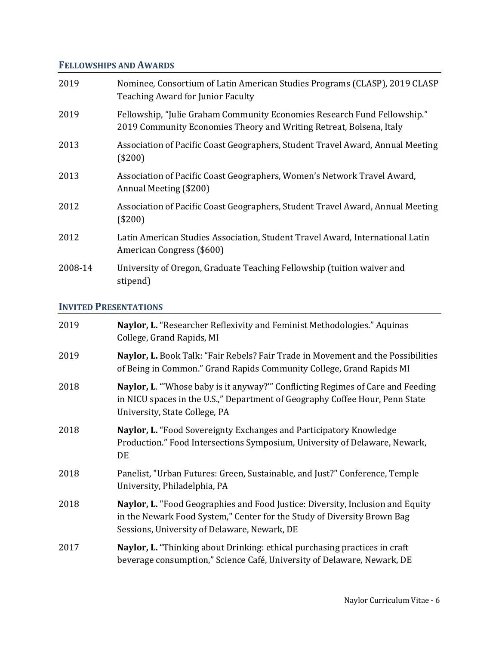# **FELLOWSHIPS AND AWARDS**

| 2019    | Nominee, Consortium of Latin American Studies Programs (CLASP), 2019 CLASP<br><b>Teaching Award for Junior Faculty</b>                          |
|---------|-------------------------------------------------------------------------------------------------------------------------------------------------|
| 2019    | Fellowship, "Julie Graham Community Economies Research Fund Fellowship."<br>2019 Community Economies Theory and Writing Retreat, Bolsena, Italy |
| 2013    | Association of Pacific Coast Geographers, Student Travel Award, Annual Meeting<br>$(\$200)$                                                     |
| 2013    | Association of Pacific Coast Geographers, Women's Network Travel Award,<br>Annual Meeting (\$200)                                               |
| 2012    | Association of Pacific Coast Geographers, Student Travel Award, Annual Meeting<br>(\$200)                                                       |
| 2012    | Latin American Studies Association, Student Travel Award, International Latin<br>American Congress (\$600)                                      |
| 2008-14 | University of Oregon, Graduate Teaching Fellowship (tuition waiver and<br>stipend)                                                              |

# **INVITED PRESENTATIONS**

| 2019 | Naylor, L. "Researcher Reflexivity and Feminist Methodologies." Aquinas<br>College, Grand Rapids, MI                                                                                                      |
|------|-----------------------------------------------------------------------------------------------------------------------------------------------------------------------------------------------------------|
| 2019 | Naylor, L. Book Talk: "Fair Rebels? Fair Trade in Movement and the Possibilities<br>of Being in Common." Grand Rapids Community College, Grand Rapids MI                                                  |
| 2018 | Naylor, L. "Whose baby is it anyway?" Conflicting Regimes of Care and Feeding<br>in NICU spaces in the U.S.," Department of Geography Coffee Hour, Penn State<br>University, State College, PA            |
| 2018 | Naylor, L. "Food Sovereignty Exchanges and Participatory Knowledge<br>Production." Food Intersections Symposium, University of Delaware, Newark,<br>DE                                                    |
| 2018 | Panelist, "Urban Futures: Green, Sustainable, and Just?" Conference, Temple<br>University, Philadelphia, PA                                                                                               |
| 2018 | Naylor, L. "Food Geographies and Food Justice: Diversity, Inclusion and Equity<br>in the Newark Food System," Center for the Study of Diversity Brown Bag<br>Sessions, University of Delaware, Newark, DE |
| 2017 | Naylor, L. "Thinking about Drinking: ethical purchasing practices in craft<br>beverage consumption," Science Café, University of Delaware, Newark, DE                                                     |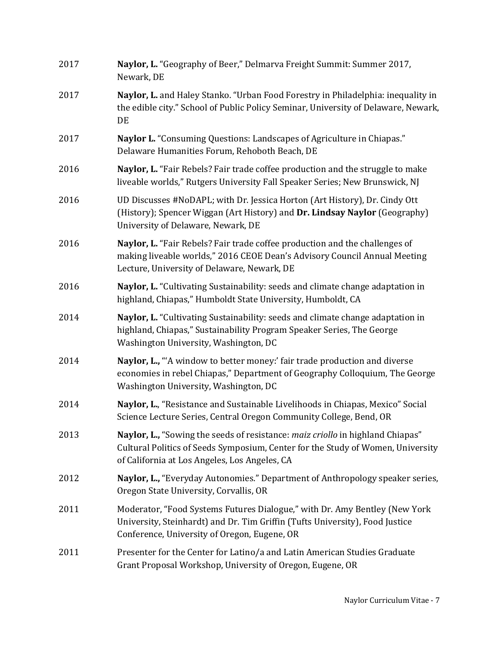| 2017 | Naylor, L. "Geography of Beer," Delmarva Freight Summit: Summer 2017,<br>Newark, DE                                                                                                                                |
|------|--------------------------------------------------------------------------------------------------------------------------------------------------------------------------------------------------------------------|
| 2017 | Naylor, L. and Haley Stanko. "Urban Food Forestry in Philadelphia: inequality in<br>the edible city." School of Public Policy Seminar, University of Delaware, Newark,<br>DE                                       |
| 2017 | Naylor L. "Consuming Questions: Landscapes of Agriculture in Chiapas."<br>Delaware Humanities Forum, Rehoboth Beach, DE                                                                                            |
| 2016 | Naylor, L. "Fair Rebels? Fair trade coffee production and the struggle to make<br>liveable worlds," Rutgers University Fall Speaker Series; New Brunswick, NJ                                                      |
| 2016 | UD Discusses #NoDAPL; with Dr. Jessica Horton (Art History), Dr. Cindy Ott<br>(History); Spencer Wiggan (Art History) and Dr. Lindsay Naylor (Geography)<br>University of Delaware, Newark, DE                     |
| 2016 | Naylor, L. "Fair Rebels? Fair trade coffee production and the challenges of<br>making liveable worlds," 2016 CEOE Dean's Advisory Council Annual Meeting<br>Lecture, University of Delaware, Newark, DE            |
| 2016 | Naylor, L. "Cultivating Sustainability: seeds and climate change adaptation in<br>highland, Chiapas," Humboldt State University, Humboldt, CA                                                                      |
| 2014 | Naylor, L. "Cultivating Sustainability: seeds and climate change adaptation in<br>highland, Chiapas," Sustainability Program Speaker Series, The George<br>Washington University, Washington, DC                   |
| 2014 | Naylor, L., "A window to better money:' fair trade production and diverse<br>economies in rebel Chiapas," Department of Geography Colloquium, The George<br>Washington University, Washington, DC                  |
| 2014 | Naylor, L., "Resistance and Sustainable Livelihoods in Chiapas, Mexico" Social<br>Science Lecture Series, Central Oregon Community College, Bend, OR                                                               |
| 2013 | Naylor, L., "Sowing the seeds of resistance: maiz criollo in highland Chiapas"<br>Cultural Politics of Seeds Symposium, Center for the Study of Women, University<br>of California at Los Angeles, Los Angeles, CA |
| 2012 | Naylor, L., "Everyday Autonomies." Department of Anthropology speaker series,<br>Oregon State University, Corvallis, OR                                                                                            |
| 2011 | Moderator, "Food Systems Futures Dialogue," with Dr. Amy Bentley (New York<br>University, Steinhardt) and Dr. Tim Griffin (Tufts University), Food Justice<br>Conference, University of Oregon, Eugene, OR         |
| 2011 | Presenter for the Center for Latino/a and Latin American Studies Graduate<br>Grant Proposal Workshop, University of Oregon, Eugene, OR                                                                             |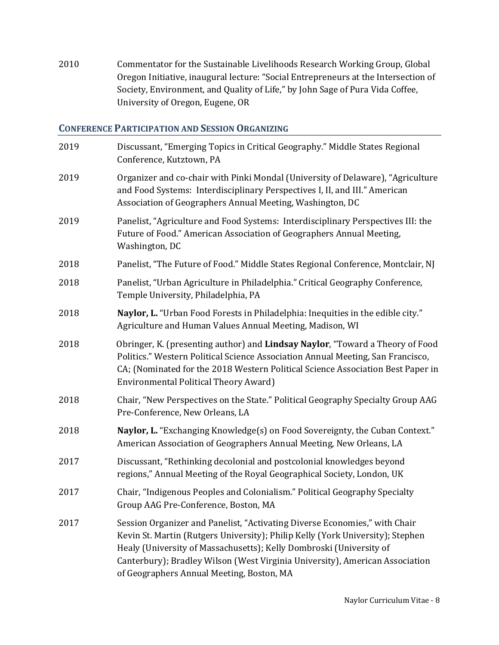2010 Commentator for the Sustainable Livelihoods Research Working Group, Global Oregon Initiative, inaugural lecture: "Social Entrepreneurs at the Intersection of Society, Environment, and Quality of Life," by John Sage of Pura Vida Coffee, University of Oregon, Eugene, OR

# **CONFERENCE PARTICIPATION AND SESSION ORGANIZING**

| 2019 | Discussant, "Emerging Topics in Critical Geography." Middle States Regional<br>Conference, Kutztown, PA                                                                                                                                                                                                                                                          |
|------|------------------------------------------------------------------------------------------------------------------------------------------------------------------------------------------------------------------------------------------------------------------------------------------------------------------------------------------------------------------|
| 2019 | Organizer and co-chair with Pinki Mondal (University of Delaware), "Agriculture<br>and Food Systems: Interdisciplinary Perspectives I, II, and III." American<br>Association of Geographers Annual Meeting, Washington, DC                                                                                                                                       |
| 2019 | Panelist, "Agriculture and Food Systems: Interdisciplinary Perspectives III: the<br>Future of Food." American Association of Geographers Annual Meeting,<br>Washington, DC                                                                                                                                                                                       |
| 2018 | Panelist, "The Future of Food." Middle States Regional Conference, Montclair, NJ                                                                                                                                                                                                                                                                                 |
| 2018 | Panelist, "Urban Agriculture in Philadelphia." Critical Geography Conference,<br>Temple University, Philadelphia, PA                                                                                                                                                                                                                                             |
| 2018 | Naylor, L. "Urban Food Forests in Philadelphia: Inequities in the edible city."<br>Agriculture and Human Values Annual Meeting, Madison, WI                                                                                                                                                                                                                      |
| 2018 | Obringer, K. (presenting author) and Lindsay Naylor, "Toward a Theory of Food<br>Politics." Western Political Science Association Annual Meeting, San Francisco,<br>CA; (Nominated for the 2018 Western Political Science Association Best Paper in<br><b>Environmental Political Theory Award)</b>                                                              |
| 2018 | Chair, "New Perspectives on the State." Political Geography Specialty Group AAG<br>Pre-Conference, New Orleans, LA                                                                                                                                                                                                                                               |
| 2018 | Naylor, L. "Exchanging Knowledge(s) on Food Sovereignty, the Cuban Context."<br>American Association of Geographers Annual Meeting, New Orleans, LA                                                                                                                                                                                                              |
| 2017 | Discussant, "Rethinking decolonial and postcolonial knowledges beyond<br>regions," Annual Meeting of the Royal Geographical Society, London, UK                                                                                                                                                                                                                  |
| 2017 | Chair, "Indigenous Peoples and Colonialism." Political Geography Specialty<br>Group AAG Pre-Conference, Boston, MA                                                                                                                                                                                                                                               |
| 2017 | Session Organizer and Panelist, "Activating Diverse Economies," with Chair<br>Kevin St. Martin (Rutgers University); Philip Kelly (York University); Stephen<br>Healy (University of Massachusetts); Kelly Dombroski (University of<br>Canterbury); Bradley Wilson (West Virginia University), American Association<br>of Geographers Annual Meeting, Boston, MA |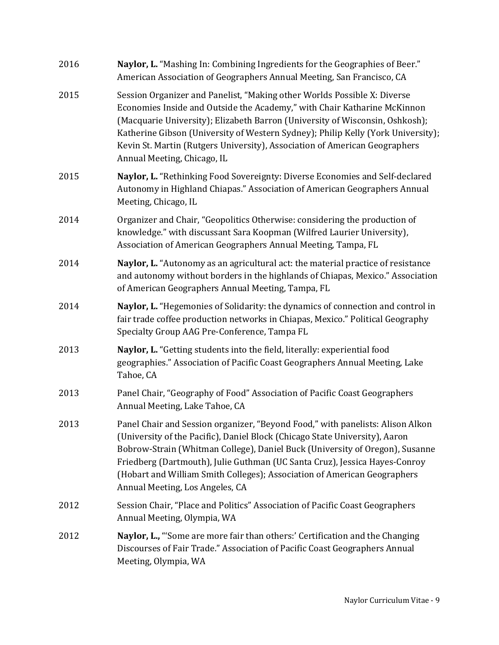| 2016 | Naylor, L. "Mashing In: Combining Ingredients for the Geographies of Beer."<br>American Association of Geographers Annual Meeting, San Francisco, CA                                                                                                                                                                                                                                                                                       |
|------|--------------------------------------------------------------------------------------------------------------------------------------------------------------------------------------------------------------------------------------------------------------------------------------------------------------------------------------------------------------------------------------------------------------------------------------------|
| 2015 | Session Organizer and Panelist, "Making other Worlds Possible X: Diverse<br>Economies Inside and Outside the Academy," with Chair Katharine McKinnon<br>(Macquarie University); Elizabeth Barron (University of Wisconsin, Oshkosh);<br>Katherine Gibson (University of Western Sydney); Philip Kelly (York University);<br>Kevin St. Martin (Rutgers University), Association of American Geographers<br>Annual Meeting, Chicago, IL      |
| 2015 | Naylor, L. "Rethinking Food Sovereignty: Diverse Economies and Self-declared<br>Autonomy in Highland Chiapas." Association of American Geographers Annual<br>Meeting, Chicago, IL                                                                                                                                                                                                                                                          |
| 2014 | Organizer and Chair, "Geopolitics Otherwise: considering the production of<br>knowledge." with discussant Sara Koopman (Wilfred Laurier University),<br>Association of American Geographers Annual Meeting, Tampa, FL                                                                                                                                                                                                                      |
| 2014 | Naylor, L. "Autonomy as an agricultural act: the material practice of resistance<br>and autonomy without borders in the highlands of Chiapas, Mexico." Association<br>of American Geographers Annual Meeting, Tampa, FL                                                                                                                                                                                                                    |
| 2014 | Naylor, L. "Hegemonies of Solidarity: the dynamics of connection and control in<br>fair trade coffee production networks in Chiapas, Mexico." Political Geography<br>Specialty Group AAG Pre-Conference, Tampa FL                                                                                                                                                                                                                          |
| 2013 | Naylor, L. "Getting students into the field, literally: experiential food<br>geographies." Association of Pacific Coast Geographers Annual Meeting, Lake<br>Tahoe, CA                                                                                                                                                                                                                                                                      |
| 2013 | Panel Chair, "Geography of Food" Association of Pacific Coast Geographers<br>Annual Meeting, Lake Tahoe, CA                                                                                                                                                                                                                                                                                                                                |
| 2013 | Panel Chair and Session organizer, "Beyond Food," with panelists: Alison Alkon<br>(University of the Pacific), Daniel Block (Chicago State University), Aaron<br>Bobrow-Strain (Whitman College), Daniel Buck (University of Oregon), Susanne<br>Friedberg (Dartmouth), Julie Guthman (UC Santa Cruz), Jessica Hayes-Conroy<br>(Hobart and William Smith Colleges); Association of American Geographers<br>Annual Meeting, Los Angeles, CA |
| 2012 | Session Chair, "Place and Politics" Association of Pacific Coast Geographers<br>Annual Meeting, Olympia, WA                                                                                                                                                                                                                                                                                                                                |
| 2012 | Naylor, L., "Some are more fair than others:' Certification and the Changing<br>Discourses of Fair Trade." Association of Pacific Coast Geographers Annual<br>Meeting, Olympia, WA                                                                                                                                                                                                                                                         |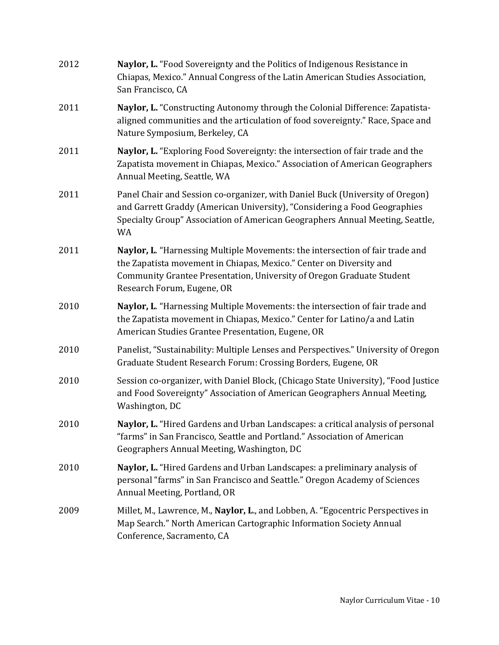| 2012 | Naylor, L. "Food Sovereignty and the Politics of Indigenous Resistance in<br>Chiapas, Mexico." Annual Congress of the Latin American Studies Association,<br>San Francisco, CA                                                                              |
|------|-------------------------------------------------------------------------------------------------------------------------------------------------------------------------------------------------------------------------------------------------------------|
| 2011 | Naylor, L. "Constructing Autonomy through the Colonial Difference: Zapatista-<br>aligned communities and the articulation of food sovereignty." Race, Space and<br>Nature Symposium, Berkeley, CA                                                           |
| 2011 | Naylor, L. "Exploring Food Sovereignty: the intersection of fair trade and the<br>Zapatista movement in Chiapas, Mexico." Association of American Geographers<br>Annual Meeting, Seattle, WA                                                                |
| 2011 | Panel Chair and Session co-organizer, with Daniel Buck (University of Oregon)<br>and Garrett Graddy (American University), "Considering a Food Geographies<br>Specialty Group" Association of American Geographers Annual Meeting, Seattle,<br>WA           |
| 2011 | Naylor, L. "Harnessing Multiple Movements: the intersection of fair trade and<br>the Zapatista movement in Chiapas, Mexico." Center on Diversity and<br>Community Grantee Presentation, University of Oregon Graduate Student<br>Research Forum, Eugene, OR |
| 2010 | Naylor, L. "Harnessing Multiple Movements: the intersection of fair trade and<br>the Zapatista movement in Chiapas, Mexico." Center for Latino/a and Latin<br>American Studies Grantee Presentation, Eugene, OR                                             |
| 2010 | Panelist, "Sustainability: Multiple Lenses and Perspectives." University of Oregon<br>Graduate Student Research Forum: Crossing Borders, Eugene, OR                                                                                                         |
| 2010 | Session co-organizer, with Daniel Block, (Chicago State University), "Food Justice<br>and Food Sovereignty" Association of American Geographers Annual Meeting,<br>Washington, DC                                                                           |
| 2010 | Naylor, L. "Hired Gardens and Urban Landscapes: a critical analysis of personal<br>"farms" in San Francisco, Seattle and Portland." Association of American<br>Geographers Annual Meeting, Washington, DC                                                   |
| 2010 | Naylor, L. "Hired Gardens and Urban Landscapes: a preliminary analysis of<br>personal "farms" in San Francisco and Seattle." Oregon Academy of Sciences<br>Annual Meeting, Portland, OR                                                                     |
| 2009 | Millet, M., Lawrence, M., Naylor, L., and Lobben, A. "Egocentric Perspectives in<br>Map Search." North American Cartographic Information Society Annual<br>Conference, Sacramento, CA                                                                       |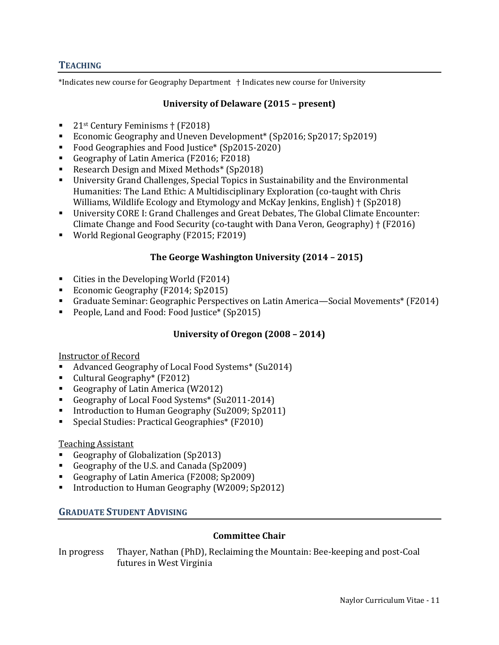#### **TEACHING**

\*Indicates new course for Geography Department † Indicates new course for University

## **University of Delaware (2015 – present)**

- $\blacksquare$  21st Century Feminisms † (F2018)
- Economic Geography and Uneven Development\* (Sp2016; Sp2017; Sp2019)
- Food Geographies and Food Justice<sup>\*</sup> (Sp2015-2020)
- Geography of Latin America (F2016; F2018)
- Research Design and Mixed Methods\* (Sp2018)
- University Grand Challenges, Special Topics in Sustainability and the Environmental Humanities: The Land Ethic: A Multidisciplinary Exploration (co-taught with Chris Williams, Wildlife Ecology and Etymology and McKay Jenkins, English) † (Sp2018)
- University CORE I: Grand Challenges and Great Debates, The Global Climate Encounter: Climate Change and Food Security (co-taught with Dana Veron, Geography) † (F2016)
- World Regional Geography (F2015; F2019)

### **The George Washington University (2014 – 2015)**

- Cities in the Developing World (F2014)
- Economic Geography (F2014; Sp2015)
- Graduate Seminar: Geographic Perspectives on Latin America—Social Movements\* (F2014)
- People, Land and Food: Food Justice\* (Sp2015)

## **University of Oregon (2008 – 2014)**

### Instructor of Record

- Advanced Geography of Local Food Systems\* (Su2014)
- Cultural Geography\* (F2012)
- Geography of Latin America (W2012)
- Geography of Local Food Systems\* (Su2011-2014)
- Introduction to Human Geography (Su2009; Sp2011)
- Special Studies: Practical Geographies\* (F2010)

### Teaching Assistant

- Geography of Globalization (Sp2013)
- Geography of the U.S. and Canada (Sp2009)
- Geography of Latin America (F2008; Sp2009)
- Introduction to Human Geography (W2009; Sp2012)

### **GRADUATE STUDENT ADVISING**

### **Committee Chair**

In progress Thayer, Nathan (PhD), Reclaiming the Mountain: Bee-keeping and post-Coal futures in West Virginia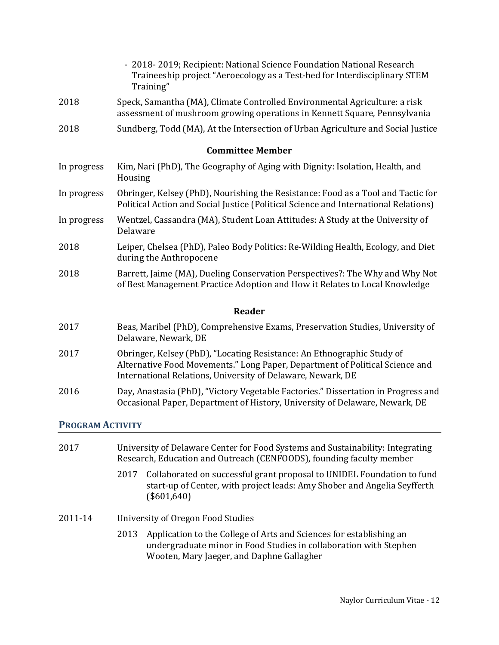|                         | - 2018-2019; Recipient: National Science Foundation National Research<br>Traineeship project "Aeroecology as a Test-bed for Interdisciplinary STEM<br>Training"                                                       |
|-------------------------|-----------------------------------------------------------------------------------------------------------------------------------------------------------------------------------------------------------------------|
| 2018                    | Speck, Samantha (MA), Climate Controlled Environmental Agriculture: a risk<br>assessment of mushroom growing operations in Kennett Square, Pennsylvania                                                               |
| 2018                    | Sundberg, Todd (MA), At the Intersection of Urban Agriculture and Social Justice                                                                                                                                      |
|                         | <b>Committee Member</b>                                                                                                                                                                                               |
| In progress             | Kim, Nari (PhD), The Geography of Aging with Dignity: Isolation, Health, and<br>Housing                                                                                                                               |
| In progress             | Obringer, Kelsey (PhD), Nourishing the Resistance: Food as a Tool and Tactic for<br>Political Action and Social Justice (Political Science and International Relations)                                               |
| In progress             | Wentzel, Cassandra (MA), Student Loan Attitudes: A Study at the University of<br>Delaware                                                                                                                             |
| 2018                    | Leiper, Chelsea (PhD), Paleo Body Politics: Re-Wilding Health, Ecology, and Diet<br>during the Anthropocene                                                                                                           |
| 2018                    | Barrett, Jaime (MA), Dueling Conservation Perspectives?: The Why and Why Not<br>of Best Management Practice Adoption and How it Relates to Local Knowledge                                                            |
|                         | Reader                                                                                                                                                                                                                |
| 2017                    | Beas, Maribel (PhD), Comprehensive Exams, Preservation Studies, University of<br>Delaware, Newark, DE                                                                                                                 |
| 2017                    | Obringer, Kelsey (PhD), "Locating Resistance: An Ethnographic Study of<br>Alternative Food Movements." Long Paper, Department of Political Science and<br>International Relations, University of Delaware, Newark, DE |
| 2016                    | Day, Anastasia (PhD), "Victory Vegetable Factories." Dissertation in Progress and<br>Occasional Paper, Department of History, University of Delaware, Newark, DE                                                      |
| <b>PROGRAM ACTIVITY</b> |                                                                                                                                                                                                                       |

# 2017 University of Delaware Center for Food Systems and Sustainability: Integrating Research, Education and Outreach (CENFOODS), founding faculty member

- 2017 Collaborated on successful grant proposal to UNIDEL Foundation to fund start-up of Center, with project leads: Amy Shober and Angelia Seyfferth (\$601,640)
- 2011-14 University of Oregon Food Studies
	- 2013 Application to the College of Arts and Sciences for establishing an undergraduate minor in Food Studies in collaboration with Stephen Wooten, Mary Jaeger, and Daphne Gallagher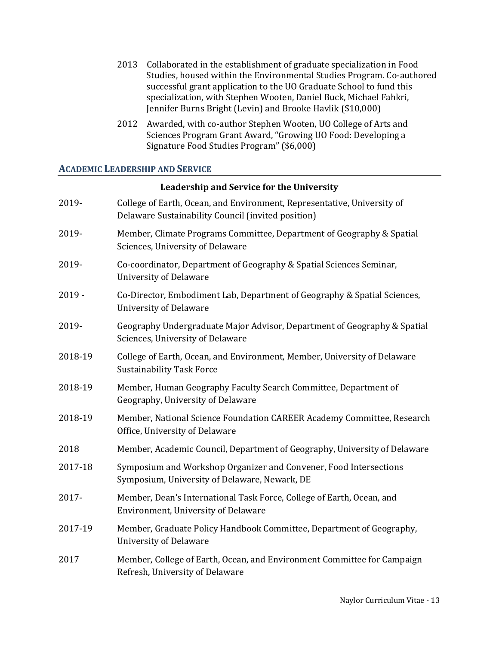- 2013 Collaborated in the establishment of graduate specialization in Food Studies, housed within the Environmental Studies Program. Co-authored successful grant application to the UO Graduate School to fund this specialization, with Stephen Wooten, Daniel Buck, Michael Fahkri, Jennifer Burns Bright (Levin) and Brooke Havlik (\$10,000)
- 2012 Awarded, with co-author Stephen Wooten, UO College of Arts and Sciences Program Grant Award, "Growing UO Food: Developing a Signature Food Studies Program" (\$6,000)

## **ACADEMIC LEADERSHIP AND SERVICE**

#### **Leadership and Service for the University**

| 2019-    | College of Earth, Ocean, and Environment, Representative, University of<br>Delaware Sustainability Council (invited position) |
|----------|-------------------------------------------------------------------------------------------------------------------------------|
| 2019-    | Member, Climate Programs Committee, Department of Geography & Spatial<br>Sciences, University of Delaware                     |
| 2019-    | Co-coordinator, Department of Geography & Spatial Sciences Seminar,<br><b>University of Delaware</b>                          |
| $2019 -$ | Co-Director, Embodiment Lab, Department of Geography & Spatial Sciences,<br><b>University of Delaware</b>                     |
| 2019-    | Geography Undergraduate Major Advisor, Department of Geography & Spatial<br>Sciences, University of Delaware                  |
| 2018-19  | College of Earth, Ocean, and Environment, Member, University of Delaware<br><b>Sustainability Task Force</b>                  |
| 2018-19  | Member, Human Geography Faculty Search Committee, Department of<br>Geography, University of Delaware                          |
| 2018-19  | Member, National Science Foundation CAREER Academy Committee, Research<br>Office, University of Delaware                      |
| 2018     | Member, Academic Council, Department of Geography, University of Delaware                                                     |
| 2017-18  | Symposium and Workshop Organizer and Convener, Food Intersections<br>Symposium, University of Delaware, Newark, DE            |
| 2017-    | Member, Dean's International Task Force, College of Earth, Ocean, and<br>Environment, University of Delaware                  |
| 2017-19  | Member, Graduate Policy Handbook Committee, Department of Geography,<br><b>University of Delaware</b>                         |
| 2017     | Member, College of Earth, Ocean, and Environment Committee for Campaign<br>Refresh, University of Delaware                    |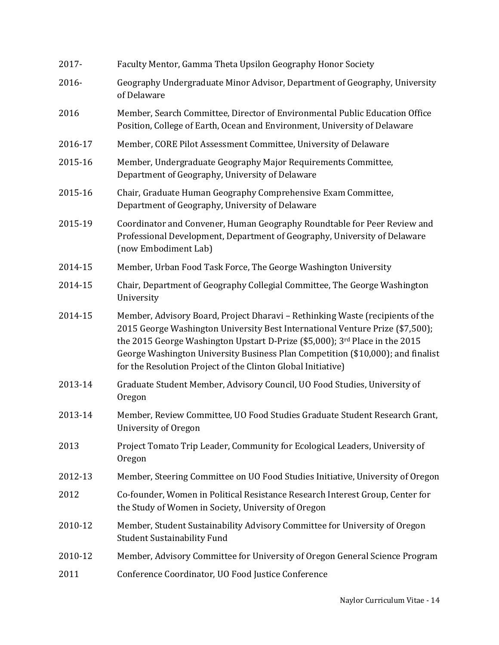| 2017-   | Faculty Mentor, Gamma Theta Upsilon Geography Honor Society                                                                                                                                                                                                                                                                                                                                      |
|---------|--------------------------------------------------------------------------------------------------------------------------------------------------------------------------------------------------------------------------------------------------------------------------------------------------------------------------------------------------------------------------------------------------|
| 2016-   | Geography Undergraduate Minor Advisor, Department of Geography, University<br>of Delaware                                                                                                                                                                                                                                                                                                        |
| 2016    | Member, Search Committee, Director of Environmental Public Education Office<br>Position, College of Earth, Ocean and Environment, University of Delaware                                                                                                                                                                                                                                         |
| 2016-17 | Member, CORE Pilot Assessment Committee, University of Delaware                                                                                                                                                                                                                                                                                                                                  |
| 2015-16 | Member, Undergraduate Geography Major Requirements Committee,<br>Department of Geography, University of Delaware                                                                                                                                                                                                                                                                                 |
| 2015-16 | Chair, Graduate Human Geography Comprehensive Exam Committee,<br>Department of Geography, University of Delaware                                                                                                                                                                                                                                                                                 |
| 2015-19 | Coordinator and Convener, Human Geography Roundtable for Peer Review and<br>Professional Development, Department of Geography, University of Delaware<br>(now Embodiment Lab)                                                                                                                                                                                                                    |
| 2014-15 | Member, Urban Food Task Force, The George Washington University                                                                                                                                                                                                                                                                                                                                  |
| 2014-15 | Chair, Department of Geography Collegial Committee, The George Washington<br>University                                                                                                                                                                                                                                                                                                          |
| 2014-15 | Member, Advisory Board, Project Dharavi - Rethinking Waste (recipients of the<br>2015 George Washington University Best International Venture Prize (\$7,500);<br>the 2015 George Washington Upstart D-Prize (\$5,000); 3rd Place in the 2015<br>George Washington University Business Plan Competition (\$10,000); and finalist<br>for the Resolution Project of the Clinton Global Initiative) |
| 2013-14 | Graduate Student Member, Advisory Council, UO Food Studies, University of<br>Oregon                                                                                                                                                                                                                                                                                                              |
| 2013-14 | Member, Review Committee, UO Food Studies Graduate Student Research Grant,<br>University of Oregon                                                                                                                                                                                                                                                                                               |
| 2013    | Project Tomato Trip Leader, Community for Ecological Leaders, University of<br>Oregon                                                                                                                                                                                                                                                                                                            |
| 2012-13 | Member, Steering Committee on UO Food Studies Initiative, University of Oregon                                                                                                                                                                                                                                                                                                                   |
| 2012    | Co-founder, Women in Political Resistance Research Interest Group, Center for<br>the Study of Women in Society, University of Oregon                                                                                                                                                                                                                                                             |
| 2010-12 | Member, Student Sustainability Advisory Committee for University of Oregon<br><b>Student Sustainability Fund</b>                                                                                                                                                                                                                                                                                 |
| 2010-12 | Member, Advisory Committee for University of Oregon General Science Program                                                                                                                                                                                                                                                                                                                      |
| 2011    | Conference Coordinator, UO Food Justice Conference                                                                                                                                                                                                                                                                                                                                               |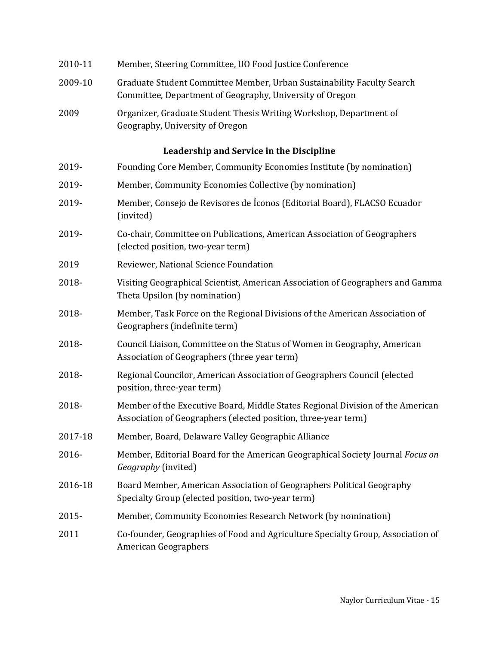| 2010-11 | Member, Steering Committee, UO Food Justice Conference                                                                                           |
|---------|--------------------------------------------------------------------------------------------------------------------------------------------------|
| 2009-10 | Graduate Student Committee Member, Urban Sustainability Faculty Search<br>Committee, Department of Geography, University of Oregon               |
| 2009    | Organizer, Graduate Student Thesis Writing Workshop, Department of<br>Geography, University of Oregon                                            |
|         | Leadership and Service in the Discipline                                                                                                         |
| 2019-   | Founding Core Member, Community Economies Institute (by nomination)                                                                              |
| 2019-   | Member, Community Economies Collective (by nomination)                                                                                           |
| 2019-   | Member, Consejo de Revisores de Íconos (Editorial Board), FLACSO Ecuador<br>(invited)                                                            |
| 2019-   | Co-chair, Committee on Publications, American Association of Geographers<br>(elected position, two-year term)                                    |
| 2019    | Reviewer, National Science Foundation                                                                                                            |
| 2018-   | Visiting Geographical Scientist, American Association of Geographers and Gamma<br>Theta Upsilon (by nomination)                                  |
| 2018-   | Member, Task Force on the Regional Divisions of the American Association of<br>Geographers (indefinite term)                                     |
| 2018-   | Council Liaison, Committee on the Status of Women in Geography, American<br>Association of Geographers (three year term)                         |
| 2018-   | Regional Councilor, American Association of Geographers Council (elected<br>position, three-year term)                                           |
| 2018-   | Member of the Executive Board, Middle States Regional Division of the American<br>Association of Geographers (elected position, three-year term) |
| 2017-18 | Member, Board, Delaware Valley Geographic Alliance                                                                                               |
| 2016-   | Member, Editorial Board for the American Geographical Society Journal Focus on<br>Geography (invited)                                            |
| 2016-18 | Board Member, American Association of Geographers Political Geography<br>Specialty Group (elected position, two-year term)                       |
| 2015-   | Member, Community Economies Research Network (by nomination)                                                                                     |
| 2011    | Co-founder, Geographies of Food and Agriculture Specialty Group, Association of<br><b>American Geographers</b>                                   |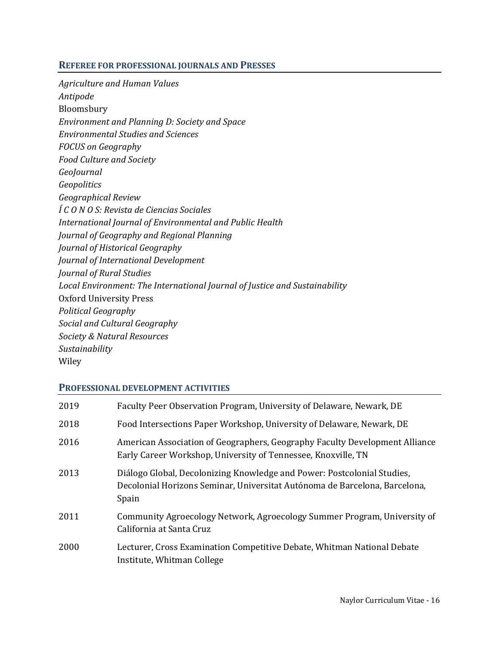#### **REFEREE FOR PROFESSIONAL JOURNALS AND PRESSES**

*Agriculture and Human Values Antipode* Bloomsbury *Environment and Planning D: Society and Space Environmental Studies and Sciences FOCUS on Geography Food Culture and Society GeoJournal Geopolitics Geographical Review Í C O N O S: Revista de Ciencias Sociales International Journal of Environmental and Public Health Journal of Geography and Regional Planning Journal of Historical Geography Journal of International Development Journal of Rural Studies Local Environment: The International Journal of Justice and Sustainability* Oxford University Press *Political Geography Social and Cultural Geography Society & Natural Resources Sustainability* Wiley

### **PROFESSIONAL DEVELOPMENT ACTIVITIES**

| Faculty Peer Observation Program, University of Delaware, Newark, DE                                                                                           |
|----------------------------------------------------------------------------------------------------------------------------------------------------------------|
| Food Intersections Paper Workshop, University of Delaware, Newark, DE                                                                                          |
| American Association of Geographers, Geography Faculty Development Alliance<br>Early Career Workshop, University of Tennessee, Knoxville, TN                   |
| Diálogo Global, Decolonizing Knowledge and Power: Postcolonial Studies,<br>Decolonial Horizons Seminar, Universitat Autónoma de Barcelona, Barcelona,<br>Spain |
| Community Agroecology Network, Agroecology Summer Program, University of<br>California at Santa Cruz                                                           |
| Lecturer, Cross Examination Competitive Debate, Whitman National Debate<br>Institute, Whitman College                                                          |
|                                                                                                                                                                |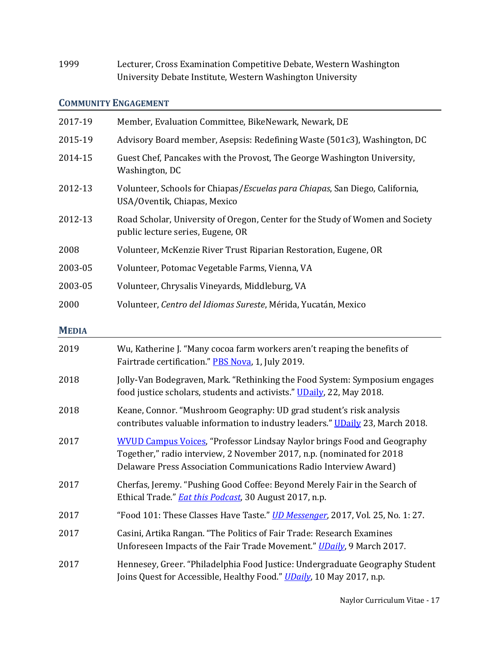1999 Lecturer, Cross Examination Competitive Debate, Western Washington University Debate Institute, Western Washington University

## **COMMUNITY ENGAGEMENT**

| 2017-19 | Member, Evaluation Committee, BikeNewark, Newark, DE                                                                  |
|---------|-----------------------------------------------------------------------------------------------------------------------|
| 2015-19 | Advisory Board member, Asepsis: Redefining Waste (501c3), Washington, DC                                              |
| 2014-15 | Guest Chef, Pancakes with the Provost, The George Washington University,<br>Washington, DC                            |
| 2012-13 | Volunteer, Schools for Chiapas/ <i>Escuelas para Chiapas</i> , San Diego, California,<br>USA/Oventik, Chiapas, Mexico |
| 2012-13 | Road Scholar, University of Oregon, Center for the Study of Women and Society<br>public lecture series, Eugene, OR    |
| 2008    | Volunteer, McKenzie River Trust Riparian Restoration, Eugene, OR                                                      |
| 2003-05 | Volunteer, Potomac Vegetable Farms, Vienna, VA                                                                        |
| 2003-05 | Volunteer, Chrysalis Vineyards, Middleburg, VA                                                                        |
| 2000    | Volunteer, Centro del Idiomas Sureste, Mérida, Yucatán, Mexico                                                        |

# **MEDIA**

| 2019 | Wu, Katherine J. "Many cocoa farm workers aren't reaping the benefits of<br>Fairtrade certification." PBS Nova, 1, July 2019.                                                                                               |
|------|-----------------------------------------------------------------------------------------------------------------------------------------------------------------------------------------------------------------------------|
| 2018 | Jolly-Van Bodegraven, Mark. "Rethinking the Food System: Symposium engages<br>food justice scholars, students and activists." UDaily, 22, May 2018.                                                                         |
| 2018 | Keane, Connor. "Mushroom Geography: UD grad student's risk analysis<br>contributes valuable information to industry leaders." UDaily 23, March 2018.                                                                        |
| 2017 | <b>WVUD Campus Voices, "Professor Lindsay Naylor brings Food and Geography</b><br>Together," radio interview, 2 November 2017, n.p. (nominated for 2018<br>Delaware Press Association Communications Radio Interview Award) |
| 2017 | Cherfas, Jeremy. "Pushing Good Coffee: Beyond Merely Fair in the Search of<br>Ethical Trade." <b><i>Eat this Podcast</i></b> , 30 August 2017, n.p.                                                                         |
| 2017 | "Food 101: These Classes Have Taste." <u>UD Messenger</u> , 2017, Vol. 25, No. 1: 27.                                                                                                                                       |
| 2017 | Casini, Artika Rangan. "The Politics of Fair Trade: Research Examines<br>Unforeseen Impacts of the Fair Trade Movement." UDaily, 9 March 2017.                                                                              |
| 2017 | Hennesey, Greer. "Philadelphia Food Justice: Undergraduate Geography Student<br>Joins Quest for Accessible, Healthy Food." UDaily, 10 May 2017, n.p.                                                                        |